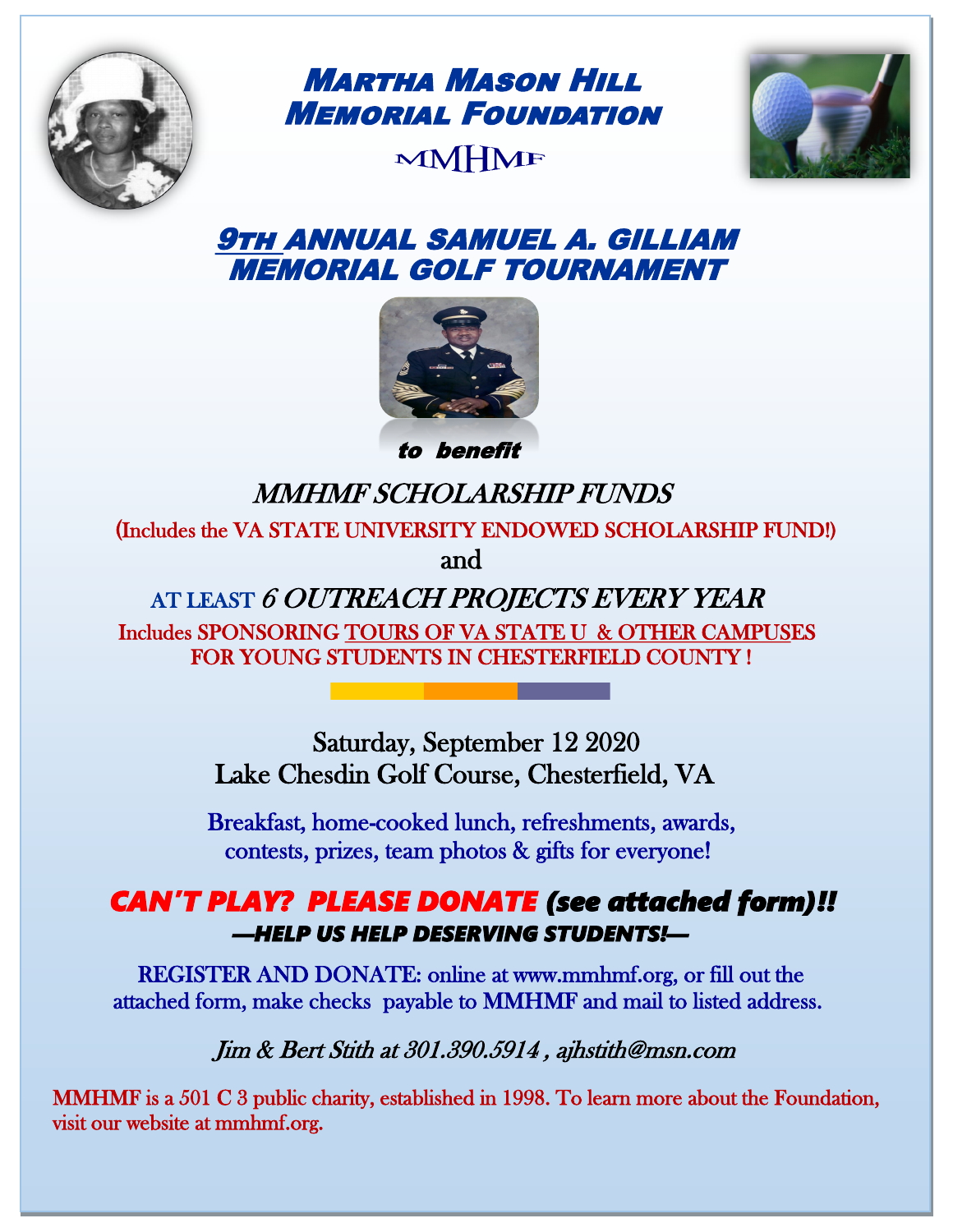

Martha Mason Hill Memorial Foundation MMHMF



# 9th ANNUAL SAMUEL A. GILLIAM MEMORIAL GOLF TOURNAMENT



to benefit

# MMHMF SCHOLARSHIP FUNDS

 (Includes the VA STATE UNIVERSITY ENDOWED SCHOLARSHIP FUND!) and and the state of the state of the state of the state of the state of the state of the state of the state o

> AT LEAST 6 OUTREACH PROJECTS EVERY YEAR Includes SPONSORING TOURS OF VA STATE U & OTHER CAMPUSES FOR YOUNG STUDENTS IN CHESTERFIELD COUNTY !

> > Saturday, September 12 2020 Lake Chesdin Golf Course, Chesterfield, VA

 Breakfast, home-cooked lunch, refreshments, awards, contests, prizes, team photos & gifts for everyone!

## *CAN'T PLAY? PLEASE DONATE (see attached form)!! —HELP US HELP DESERVING STUDENTS!—*

 REGISTER AND DONATE: online at www.mmhmf.org, or fill out the attached form, make checks payable to MMHMF and mail to listed address.

Jim & Bert Stith at 301.390.5914 , ajhstith@msn.com

 MMHMF is a 501 C 3 public charity, established in 1998. To learn more about the Foundation, visit our website at mmhmf.org.